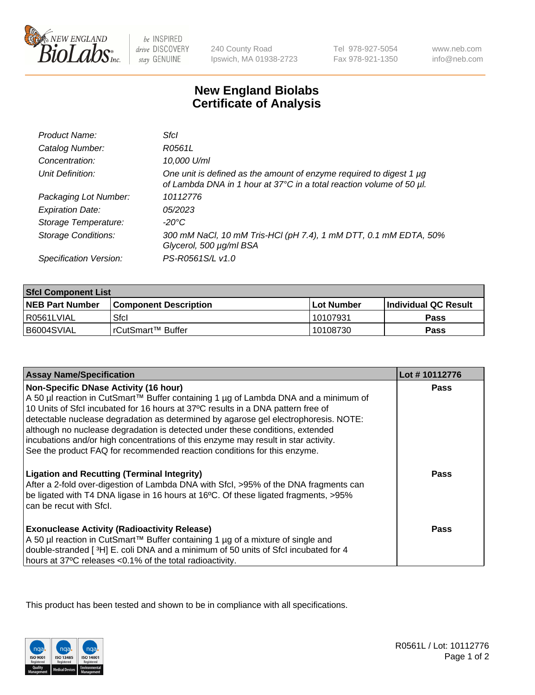

be INSPIRED drive DISCOVERY stay GENUINE

240 County Road Ipswich, MA 01938-2723 Tel 978-927-5054 Fax 978-921-1350

www.neb.com info@neb.com

## **New England Biolabs Certificate of Analysis**

| Product Name:              | Sfcl                                                                                                                                             |
|----------------------------|--------------------------------------------------------------------------------------------------------------------------------------------------|
| Catalog Number:            | R0561L                                                                                                                                           |
| Concentration:             | 10,000 U/ml                                                                                                                                      |
| Unit Definition:           | One unit is defined as the amount of enzyme required to digest 1 $\mu$ g<br>of Lambda DNA in 1 hour at 37°C in a total reaction volume of 50 µl. |
| Packaging Lot Number:      | 10112776                                                                                                                                         |
| <b>Expiration Date:</b>    | 05/2023                                                                                                                                          |
| Storage Temperature:       | -20°C                                                                                                                                            |
| <b>Storage Conditions:</b> | 300 mM NaCl, 10 mM Tris-HCl (pH 7.4), 1 mM DTT, 0.1 mM EDTA, 50%<br>Glycerol, 500 µg/ml BSA                                                      |
| Specification Version:     | PS-R0561S/L v1.0                                                                                                                                 |

| <b>Sfcl Component List</b> |                         |              |                             |  |
|----------------------------|-------------------------|--------------|-----------------------------|--|
| <b>NEB Part Number</b>     | l Component Description | l Lot Number | <b>Individual QC Result</b> |  |
| I R0561LVIAL               | Sfcl                    | l 10107931   | Pass                        |  |
| B6004SVIAL                 | l rCutSmart™ Buffer_    | 10108730     | Pass                        |  |

| <b>Assay Name/Specification</b>                                                                                                                                                                                                                                                                                                        | Lot #10112776 |
|----------------------------------------------------------------------------------------------------------------------------------------------------------------------------------------------------------------------------------------------------------------------------------------------------------------------------------------|---------------|
| <b>Non-Specific DNase Activity (16 hour)</b><br>A 50 µl reaction in CutSmart™ Buffer containing 1 µg of Lambda DNA and a minimum of<br>10 Units of Sfcl incubated for 16 hours at 37°C results in a DNA pattern free of                                                                                                                | <b>Pass</b>   |
| detectable nuclease degradation as determined by agarose gel electrophoresis. NOTE:<br>although no nuclease degradation is detected under these conditions, extended<br>incubations and/or high concentrations of this enzyme may result in star activity.<br>See the product FAQ for recommended reaction conditions for this enzyme. |               |
| <b>Ligation and Recutting (Terminal Integrity)</b><br>After a 2-fold over-digestion of Lambda DNA with Sfcl, >95% of the DNA fragments can<br>be ligated with T4 DNA ligase in 16 hours at 16°C. Of these ligated fragments, >95%<br>can be recut with Sfcl.                                                                           | <b>Pass</b>   |
| <b>Exonuclease Activity (Radioactivity Release)</b><br>A 50 µl reaction in CutSmart™ Buffer containing 1 µg of a mixture of single and<br>double-stranded [3H] E. coli DNA and a minimum of 50 units of Sfcl incubated for 4<br>hours at 37°C releases <0.1% of the total radioactivity.                                               | Pass          |

This product has been tested and shown to be in compliance with all specifications.